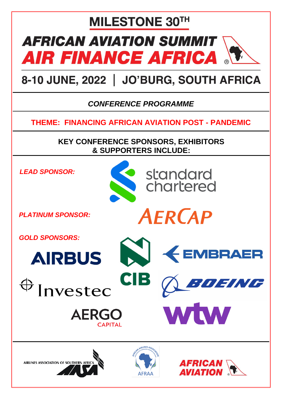# **AFRICAN AVIATION SUMMIT AIR FINANCE AFRICA**



### 8-10 JUNE, 2022 | JO'BURG, SOUTH AFRICA

### *CONFERENCE PROGRAMME*

#### **THEME: FINANCING AFRICAN AVIATION POST - PANDEMIC**

**KEY CONFERENCE SPONSORS, EXHIBITORS & SUPPORTERS INCLUDE:**

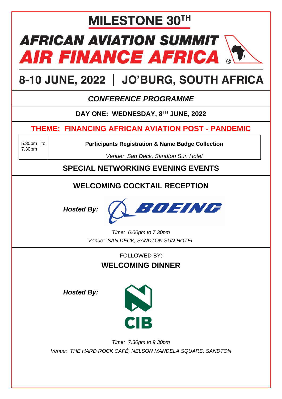# **AFRICAN AVIATION SUMMIT AIR FINANCE AFRICA**



### 8-10 JUNE, 2022 | JO'BURG, SOUTH AFRICA

### *CONFERENCE PROGRAMME*

**DAY ONE: WEDNESDAY, 8TH JUNE, 2022**

#### **THEME: FINANCING AFRICAN AVIATION POST - PANDEMIC**

5.30pm to 7.30pm

**Participants Registration & Name Badge Collection**

*Venue: San Deck, Sandton Sun Hotel*

#### **SPECIAL NETWORKING EVENING EVENTS**

### **WELCOMING COCKTAIL RECEPTION**

*Hosted By:*



*Time: 6.00pm to 7.30pm Venue: SAN DECK, SANDTON SUN HOTEL*

#### FOLLOWED BY: **WELCOMING DINNER**

*Hosted By:*



*Time: 7.30pm to 9.30pm Venue: THE HARD ROCK CAFÉ, NELSON MANDELA SQUARE, SANDTON*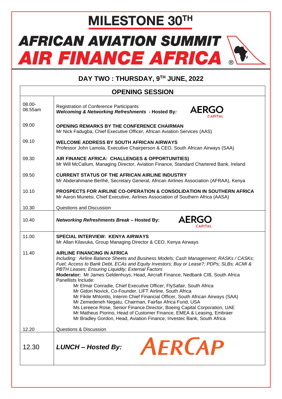# **AFRICAN AVIATION SUMMIT AIR FINANCE AFRICA**

#### **DAY TWO : THURSDAY, 9TH JUNE, 2022**

#### **OPENING SESSION** 08.00- Registration of Conference Participants **AERGO** 08.55am *Welcoming & Networking Refreshments -* **Hosted By***:*  09.00 **OPENING REMARKS BY THE CONFERENCE CHAIRMAN** Mr Nick Fadugba, Chief Executive Officer, African Aviation Services (AAS) 09.10 **WELCOME ADDRESS BY SOUTH AFRICAN AIRWAYS** Professor John Lamola, Executive Chairperson & CEO, South African Airways (SAA) 09.30 **AIR FINANCE AFRICA: CHALLENGES & OPPORTUNITIES)** Mr Will McCallum, Managing Director, Aviation Finance, Standard Chartered Bank, Ireland **CURRENT STATUS OF THE AFRICAN AIRLINE INDUSTRY** 09.50 Mr Abderahmane Berthé, Secretary General, African Airlines Association (AFRAA), Kenya **PROSPECTS FOR AIRLINE CO-OPERATION & CONSOLIDATION IN SOUTHERN AFRICA** 10.10 Mr Aaron Munetsi, Chief Executive, Airlines Association of Southern Africa (AASA) 10.30 Questions and Discussion **AERGO** 10.40 *Networking Refreshments Break –* **Hosted By: CADITAL** 11.00 **SPECIAL INTERVIEW: KENYA AIRWAYS** Mr Allan Kilavuka, Group Managing Director & CEO, Kenya Airways 11.40 **AIRLINE FINANCING IN AFRICA** *Including: Airline Balance Sheets and Business Models; Cash Management; RASKs / CASKs; Fuel; Access to Bank Debt, ECAs and Equity Investors; Buy or Lease?; PDPs; SLBs; ACMI & PBTH Leases; Ensuring Liquidity; External Factors* **Moderator:** Mr James Geldenhuys, Head, Aircraft Finance, Nedbank CIB, South Africa Panellists Include: Mr Elmar Conradie, Chief Executive Officer, FlySafair, South Africa Mr Gidon Novick, Co-Founder, LIFT Airline, South Africa Mr Fikile Mhlontlo, Interim Chief Financial Officer, South African Airways (SAA) Mr Zemedeneh Negatu, Chairman, Fairfax Africa Fund, USA Ms Lereece Rose, Senior Finance Director, Boeing Capital Corporation, UAE Mr Matheus Piorino, Head of Customer Finance, EMEA & Leasing, Embraer Mr Bradley Gordon, Head, Aviation Finance, Investec Bank, South Africa 12.20 Questions & Discussion 12.30 *LUNCH – Hosted By:* **AFRIAP**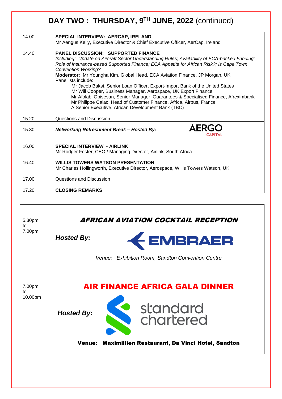#### **DAY TWO : THURSDAY, 9 TH JUNE, 2022** (continued)

| 14.00 | SPECIAL INTERVIEW: AERCAP, IRELAND<br>Mr Aengus Kelly, Executive Director & Chief Executive Officer, AerCap, Ireland                                                                                                                                                                                                                                                                                                                                                                                                                                                                                                                                                                                                                            |
|-------|-------------------------------------------------------------------------------------------------------------------------------------------------------------------------------------------------------------------------------------------------------------------------------------------------------------------------------------------------------------------------------------------------------------------------------------------------------------------------------------------------------------------------------------------------------------------------------------------------------------------------------------------------------------------------------------------------------------------------------------------------|
| 14.40 | <b>PANEL DISCUSSION: SUPPORTED FINANCE</b><br>Including: Update on Aircraft Sector Understanding Rules; Availability of ECA-backed Funding;<br>Role of Insurance-based Supported Finance; ECA Appetite for African Risk?; Is Cape Town<br><b>Convention Working?</b><br>Moderator: Mr Youngha Kim, Global Head, ECA Aviation Finance, JP Morgan, UK<br>Panellists include:<br>Mr Jacob Bakst, Senior Loan Officer, Export-Import Bank of the United States<br>Mr Will Cooper, Business Manager, Aerospace, UK Export Finance<br>Mr Afolabi Obisesan, Senior Manager, Guarantees & Specialised Finance, Afreximbank<br>Mr Philippe Calac, Head of Customer Finance, Africa, Airbus, France<br>A Senior Executive, African Development Bank (TBC) |
| 15.20 | Questions and Discussion                                                                                                                                                                                                                                                                                                                                                                                                                                                                                                                                                                                                                                                                                                                        |
| 15.30 | <b>AERGO</b><br><b>Networking Refreshment Break - Hosted By:</b><br><b>CAPITAL</b>                                                                                                                                                                                                                                                                                                                                                                                                                                                                                                                                                                                                                                                              |
| 16.00 | <b>SPECIAL INTERVIEW - AIRLINK</b><br>Mr Rodger Foster, CEO / Managing Director, Airlink, South Africa                                                                                                                                                                                                                                                                                                                                                                                                                                                                                                                                                                                                                                          |
| 16.40 | <b>WILLIS TOWERS WATSON PRESENTATION</b><br>Mr Charles Hollingworth, Executive Director, Aerospace, Willis Towers Watson, UK                                                                                                                                                                                                                                                                                                                                                                                                                                                                                                                                                                                                                    |
| 17.00 | <b>Questions and Discussion</b>                                                                                                                                                                                                                                                                                                                                                                                                                                                                                                                                                                                                                                                                                                                 |
| 17.20 | <b>CLOSING REMARKS</b>                                                                                                                                                                                                                                                                                                                                                                                                                                                                                                                                                                                                                                                                                                                          |

| 5.30pm<br>to<br>7.00pm  | AFRICAN AVIATION COCKTAIL RECEPTION<br><b>EMBRAER</b><br><b>Hosted By:</b><br>Venue: Exhibition Room, Sandton Convention Centre                         |
|-------------------------|---------------------------------------------------------------------------------------------------------------------------------------------------------|
| 7.00pm<br>tο<br>10.00pm | <b>AIR FINANCE AFRICA GALA DINNER</b><br>Standard<br>Charlered<br><b>Hosted By:</b><br><b>Maximillien Restaurant, Da Vinci Hotel, Sandton</b><br>Venue: |